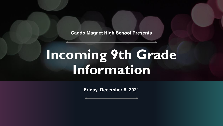**Caddo Magnet High School Presents**

# **Incoming 9th Grade Information**

**Friday, December 5, 2021**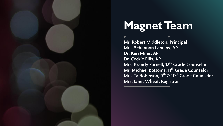

## **Magnet Team**

**Mr. Robert Middleton, Principal Mrs. Schannon Lanclos, AP Dr. Keri Miles, AP Dr. Cedric Ellis, AP Mrs. Brandy Parnell, 12th Grade Counselor** Mr. Michael Bottoms, 11<sup>th</sup> Grade Counselor Mrs. Ta Robinson, 9<sup>th</sup> & 10<sup>th</sup> Grade Counselor **Mrs. Janet Wheat, Registrar**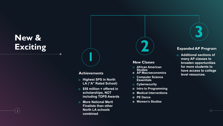## **New & Exciting**

3

#### **Achievements**

**1**

- **o Highest SPS in North LA ("A" Rated School)**
- **o \$58 million + offered in scholarships, NOT including TOPS Awards**
- **o More National Merit Finalists than other North LA schools combined**



#### **New Classes**

- **o African American Studies**
- **o AP Macroeconomics**
- **o Computer Science Essentials**
- **o Cybersecurity**
- **o Intro to Programming**
- **o Medical Interventions**
- **o PE Dance**
- **o Women's Studies**

# **3**

#### **Expanded AP Program**

**o Additional sections of many AP classes to broaden opportunities for more students to have access to college level resources.**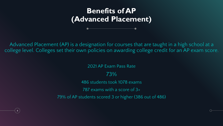## **Benefits of AP (Advanced Placement)**

Advanced Placement (AP) is a designation for courses that are taught in a high school at a college level. Colleges set their own policies on awarding college credit for an AP exam score.

> 2021 AP Exam Pass Rate 73% 486 students took 1078 exams 787 exams with a score of 3+ 79% of AP students scored 3 or higher (386 out of 486)

4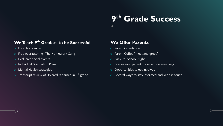#### **9***9* Grade Success

#### **We Teach 9th Graders to be Successful**

o Free day planner

5

- o Free peer tutoring—The Homework Gang
- o Exclusive social events
- o Individual Graduation Plans
- o Mental Health strategies
- $\circ$  Transcript review of HS credits earned in 8<sup>th</sup> grade

#### **We Offer Parents**

- o Parent Orientation
- o Parent Coffee "meet and greet"
- o Back-to-School Night
- o Grade-level parent informational meetings
- o Opportunities to get involved
- o Several ways to stay informed and keep in touch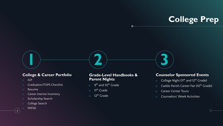## **College Prep**

#### **College & Career Portfolio**

- o IGP
- o Graduation/TOPS Checklist
- o Resume

**1**

- o Career Interest Inventory
- o Scholarship Search
- o College Search
- o FAFSA

 $\begin{pmatrix} 6 \end{pmatrix}$ 

#### **Grade-Level Handbooks & Parent Nights**

- o 9<sup>th</sup> and 10<sup>th</sup> Grade
- $\circ$  11<sup>th</sup> Grade

**2**

 $\circ$  12<sup>th</sup> Grade

#### **Counselor Sponsored Events**

- $\circ$  College Night (11<sup>th</sup> and 12<sup>th</sup> Grade)
- o Caddo Parish Career Fair (10<sup>th</sup> Grade)
- o Career Center Tours

**3**

o Counselors' Week Activities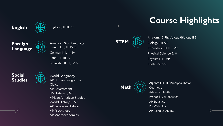## **Course Highlights**

**Foreign Language**

**English**  $(\leftarrow\ \leftarrow\ \right)$  English I, II, III, IV

American Sign Language French I, II, III, IV, V German I, II, III, IV Latin I, II, III, IV Spanish I, II, III, IV, V

**Social Studies**

z († 1858)<br>28. marec – Aper Sychology, politik argentina († 1872)<br>28. marec – Aper Sychology, politik argentina († 1872) World Geography AP Human Geography **Civics** AP Government US History E, AP African American Studies World History E, AP AP European History AP Psychology AP Macroeconomics

**STEM**

Anatomy & Physiology (Biology II E) Biology I, II AP Chemistry I, II H, II AP Physical Science E, H Physics E, H, AP Earth Science

**Math**

Algebra I, II, III (Mu Alpha Theta) **Geometry** Advanced Math **Probability & Statistics** AP Statistics Pre-Calculus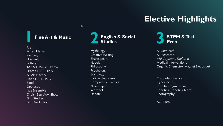## **Elective Highlights**

#### **Fine Art & Music**

Art I Mixed Media **Painting** Drawing **Pottery** TAP Art, Music, Drama Drama I, II, III, IV, V AP Art History Piano I, II, III, IV, V Band Orchestra Jazz Ensemble Choir—Beg, Adv, Show Film Studies Film Production



Mythology Creative Writing Shakespeare Novels Philosophy Psychology Sociology Judicial Processes Comparative Politics Newspaper Yearbook Debate

AP Seminar\* AP Research\* *\*AP Capstone Diploma* Medical Interventions Organic Chemistry (Magnet Exclusive)

Computer Science **Cybersecurity** Intro to Programming Robotics (Robotics Team) Photography

ACT Prep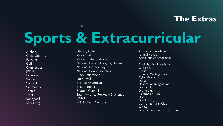## **The Extras**

# **Sports & Extracurricular**

**Archery** Cross Country Fencing Golf **Gymnastics** JROTC Lacrosse **Soccer Softball** Swimming Tennis **Track** Volleyball **Wrestling** 

Literary Rally Mock Trial Model United Nations National Foreign Language Exams National History Day National Honor Societies PTSA Reflections Quiz Bowl Science Olympiad STEM Project Student Council Team America Rocketry Challenge UNICEF U.S. Biology Olympiad

Academic Decathlon Animal House Asian Studies Association Band Black Studies Association Chess Club Choir Creative Writing Club Cyber Patriot **Debate** Destination Imagination Drama Club Drone Club Electronics Club **FCA** First Priority German & Italian Club Girl Up Greens Club……and many more!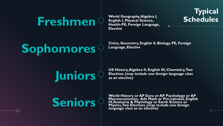## **Freshmen** Constrained More of the Shift of the Shift of the Health-PE. Foreign Language

**English I, Physical Science, Health-PE, Foreign Language, Elective**

## **Typical Schedules**

# Sophomores<sup> **Sophomores**</sup>

 $10$ 

**Language, Elective**

US History, Algebra II, English III, Chemistry, Two<br>**JUNIOFS** as an elective)<br>**JUNIOFS** as an elective) **Electives (may include one foreign language class as an elective)**

# **Seniors**

World History or AP Euro or AP Psychology or AP<br>Macroeconomics, Adv Math <u>o</u>r Pre-calculus, English **IV, Anatomy & Physiology or Earth Science or Physics, Two Electives (may include one foreign language class as an elective)**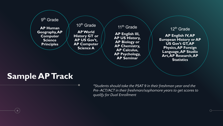#### 9<sup>th</sup> Grade

**AP Human Geography, AP Computer Science Principles**

10<sup>th</sup> Grade **AP World History GT or AP US Gov't, AP Computer Science A**

#### 11<sup>th</sup> Grade

**AP English III, AP US History, AP Biology or AP Chemistry, AP Calculus, AP Psychology, AP Seminar**

#### 12th Grade

**AP English IV, AP European History or AP US Gov't GT, AP Physics, AP Foreign Language, AP Studio Art, AP Research, AP Statistics**

## **Sample AP Track**

11

*\*Students should take the PSAT 9 in their freshman year and the Pre-ACT/ACT in their freshman/sophomore years to get scores to qualify for Dual Enrollment*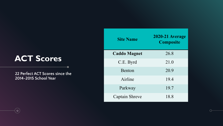## **ACT Scores**

 $(12)$ 

**22 Perfect ACT Scores since the 2014-2015 School Year**

▲

| <b>Site Name</b>    | <b>2020-21 Average</b><br><b>Composite</b> |
|---------------------|--------------------------------------------|
| <b>Caddo Magnet</b> | 26.8                                       |
| C.E. Byrd           | 21.0                                       |
| <b>Benton</b>       | 20.9                                       |
| Airline             | 19.4                                       |
| Parkway             | 19.7                                       |
| Captain Shreve      | 18.8                                       |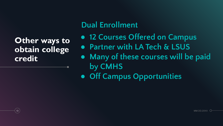**Other ways to obtain college credit**

## **Dual Enrollment**

- **● 12 Courses Offered on Campus**
- **● Partner with LA Tech & LSUS**
- **● Many of these courses will be paid by CMHS**
- **● Off Campus Opportunities**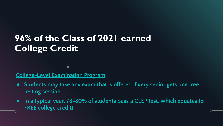## **96% of the Class of 2021 earned College Credit**

## **College-Level Examination Program**

- **● Students may take any exam that is offered. Every senior gets one free testing session.**
- **● In a typical year, 78-80% of students pass a CLEP test, which equates to FREE college credit!**  $(14)$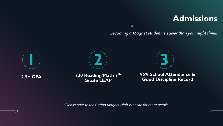## **Admissions**

*Becoming a Magnet student is easier than you might think!*



 $15<sup>2</sup>$ 

*\*Please refer to the Caddo Magnet High Website for more details*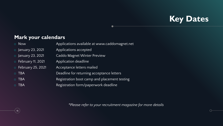## **Key Dates**

### **Mark your calendars**

- o Now Applications available at www.caddomagnet.net
- o January 23, 2021 Applications accepted
- o January 23, 2021 Caddo Magnet Winter Preview
- o February 11, 2021 Application deadline
- o February 25, 2021 Acceptance letters mailed
- o TBA Deadline for returning acceptance letters
- o TBA Registration boot camp and placement testing
- o TBA Registration form/paperwork deadline

*\*Please refer to your recruitment magazine for more details*

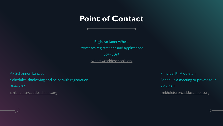## **Point of Contact**

●

Registrar Janet Wheat Processes registrations and applications 364-5074 [jwheat@caddoschools.org](mailto:jwheat@caddoschools.org)

AP Schannon Lanclos Principal RJ Middleton Schedules shadowing and helps with registration Schedule a meeting or private tour Schedule a meeting or private tour 364-5069 221-2501

[smlanclos@caddoschools.org](mailto:smlanclos@caddoschools.org) [rmiddleton@caddoschools.org](mailto:rmiddlton@caddoschools.org)

 $17$